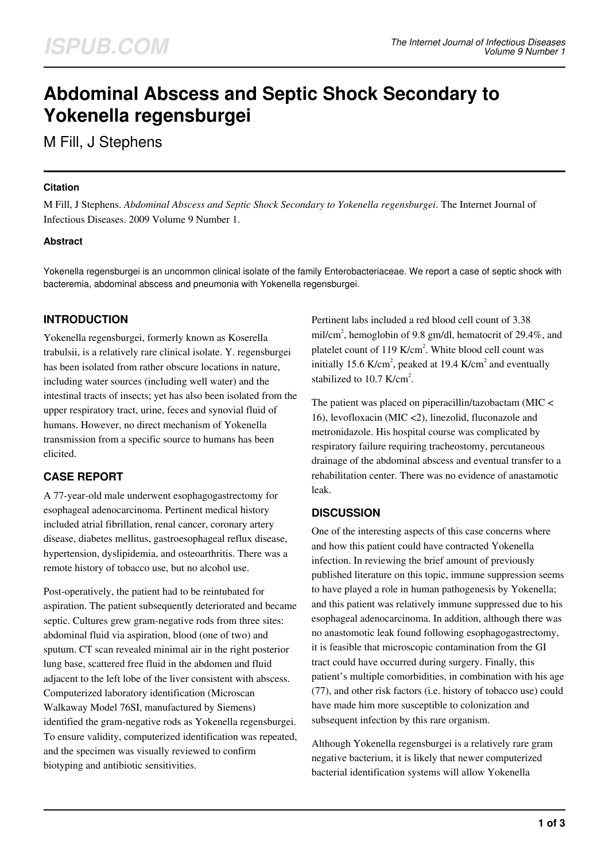# **Abdominal Abscess and Septic Shock Secondary to Yokenella regensburgei**

M Fill, J Stephens

## **Citation**

M Fill, J Stephens. *Abdominal Abscess and Septic Shock Secondary to Yokenella regensburgei*. The Internet Journal of Infectious Diseases. 2009 Volume 9 Number 1.

## **Abstract**

Yokenella regensburgei is an uncommon clinical isolate of the family Enterobacteriaceae. We report a case of septic shock with bacteremia, abdominal abscess and pneumonia with Yokenella regensburgei.

# **INTRODUCTION**

Yokenella regensburgei, formerly known as Koserella trabulsii, is a relatively rare clinical isolate. Y. regensburgei has been isolated from rather obscure locations in nature, including water sources (including well water) and the intestinal tracts of insects; yet has also been isolated from the upper respiratory tract, urine, feces and synovial fluid of humans. However, no direct mechanism of Yokenella transmission from a specific source to humans has been elicited.

# **CASE REPORT**

A 77-year-old male underwent esophagogastrectomy for esophageal adenocarcinoma. Pertinent medical history included atrial fibrillation, renal cancer, coronary artery disease, diabetes mellitus, gastroesophageal reflux disease, hypertension, dyslipidemia, and osteoarthritis. There was a remote history of tobacco use, but no alcohol use.

Post-operatively, the patient had to be reintubated for aspiration. The patient subsequently deteriorated and became septic. Cultures grew gram-negative rods from three sites: abdominal fluid via aspiration, blood (one of two) and sputum. CT scan revealed minimal air in the right posterior lung base, scattered free fluid in the abdomen and fluid adjacent to the left lobe of the liver consistent with abscess. Computerized laboratory identification (Microscan Walkaway Model 76SI, manufactured by Siemens) identified the gram-negative rods as Yokenella regensburgei. To ensure validity, computerized identification was repeated, and the specimen was visually reviewed to confirm biotyping and antibiotic sensitivities.

Pertinent labs included a red blood cell count of 3.38 mil/cm<sup>2</sup>, hemoglobin of 9.8 gm/dl, hematocrit of 29.4%, and platelet count of  $119$  K/cm<sup>2</sup>. White blood cell count was initially 15.6 K/cm<sup>2</sup>, peaked at 19.4 K/cm<sup>2</sup> and eventually stabilized to 10.7 K/cm<sup>2</sup>.

The patient was placed on piperacillin/tazobactam (MIC < 16), levofloxacin (MIC <2), linezolid, fluconazole and metronidazole. His hospital course was complicated by respiratory failure requiring tracheostomy, percutaneous drainage of the abdominal abscess and eventual transfer to a rehabilitation center. There was no evidence of anastamotic leak.

# **DISCUSSION**

One of the interesting aspects of this case concerns where and how this patient could have contracted Yokenella infection. In reviewing the brief amount of previously published literature on this topic, immune suppression seems to have played a role in human pathogenesis by Yokenella; and this patient was relatively immune suppressed due to his esophageal adenocarcinoma. In addition, although there was no anastomotic leak found following esophagogastrectomy, it is feasible that microscopic contamination from the GI tract could have occurred during surgery. Finally, this patient's multiple comorbidities, in combination with his age (77), and other risk factors (i.e. history of tobacco use) could have made him more susceptible to colonization and subsequent infection by this rare organism.

Although Yokenella regensburgei is a relatively rare gram negative bacterium, it is likely that newer computerized bacterial identification systems will allow Yokenella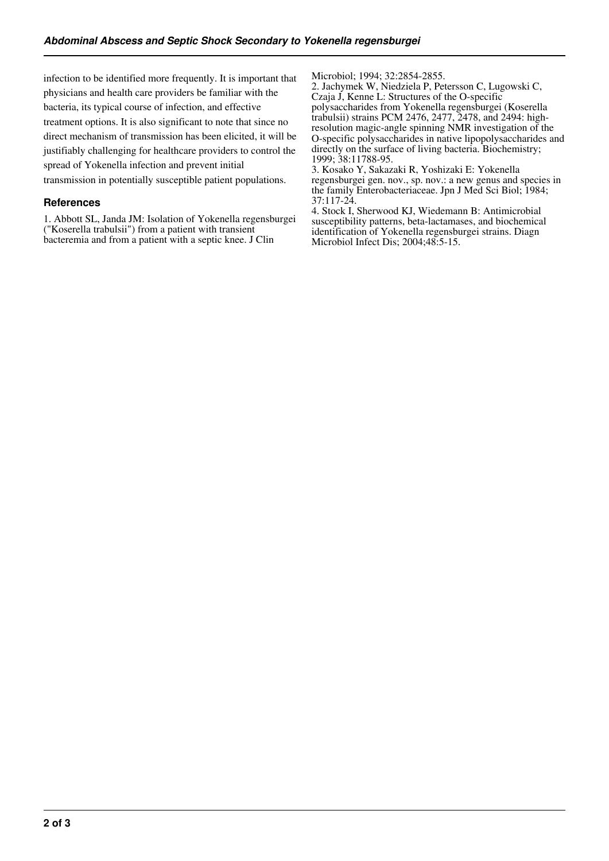infection to be identified more frequently. It is important that physicians and health care providers be familiar with the bacteria, its typical course of infection, and effective treatment options. It is also significant to note that since no direct mechanism of transmission has been elicited, it will be justifiably challenging for healthcare providers to control the spread of Yokenella infection and prevent initial transmission in potentially susceptible patient populations.

## **References**

1. Abbott SL, Janda JM: Isolation of Yokenella regensburgei ("Koserella trabulsii") from a patient with transient bacteremia and from a patient with a septic knee. J Clin

Microbiol; 1994; 32:2854-2855.

2. Jachymek W, Niedziela P, Petersson C, Lugowski C, Czaja J, Kenne L: Structures of the O-specific polysaccharides from Yokenella regensburgei (Koserella trabulsii) strains PCM 2476, 2477, 2478, and 2494: highresolution magic-angle spinning NMR investigation of the O-specific polysaccharides in native lipopolysaccharides and directly on the surface of living bacteria. Biochemistry; 1999; 38:11788-95.

3. Kosako Y, Sakazaki R, Yoshizaki E: Yokenella regensburgei gen. nov., sp. nov.: a new genus and species in the family Enterobacteriaceae. Jpn J Med Sci Biol; 1984; 37:117-24.

4. Stock I, Sherwood KJ, Wiedemann B: Antimicrobial susceptibility patterns, beta-lactamases, and biochemical identification of Yokenella regensburgei strains. Diagn Microbiol Infect Dis; 2004;48:5-15.